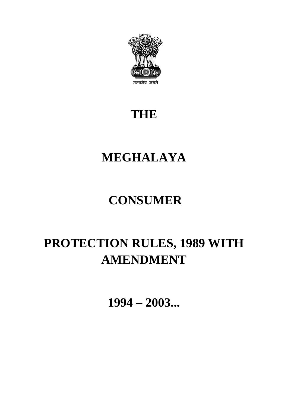

### **THE**

### **MEGHALAYA**

# **CONSUMER**

# **PROTECTION RULES, 1989 WITH AMENDMENT**

**1994 – 2003...**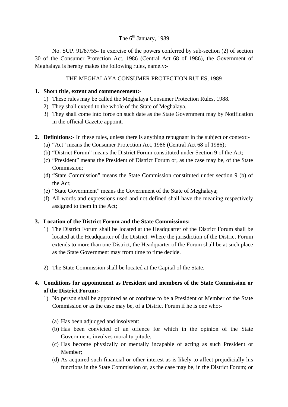#### The  $6<sup>th</sup>$  January, 1989

No. SUP. 91/87/55- In exercise of the powers conferred by sub-section (2) of section 30 of the Consumer Protection Act, 1986 (Central Act 68 of 1986), the Government of Meghalaya is hereby makes the following rules, namely:-

#### THE MEGHALAYA CONSUMER PROTECTION RULES, 1989

#### **1. Short title, extent and commencement:-**

- 1) These rules may be called the Meghalaya Consumer Protection Rules, 1988.
- 2) They shall extend to the whole of the State of Meghalaya.
- 3) They shall come into force on such date as the State Government may by Notification in the official Gazette appoint.
- **2. Definitions:-** In these rules, unless there is anything repugnant in the subject or context:-
	- (a) "Act" means the Consumer Protection Act, 1986 (Central Act 68 of 1986);
	- (b) "District Forum" means the District Forum constituted under Section 9 of the Act;
	- (c) "President" means the President of District Forum or, as the case may be, of the State Commission;
	- (d) "State Commission" means the State Commission constituted under section 9 (b) of the Act;
	- (e) "State Government" means the Government of the State of Meghalaya;
	- (f) All words and expressions used and not defined shall have the meaning respectively assigned to them in the Act;

#### **3. Location of the District Forum and the State Commissions:-**

- 1) The District Forum shall be located at the Headquarter of the District Forum shall be located at the Headquarter of the District. Where the jurisdiction of the District Forum extends to more than one District, the Headquarter of the Forum shall be at such place as the State Government may from time to time decide.
- 2) The State Commission shall be located at the Capital of the State.

#### **4. Conditions for appointment as President and members of the State Commission or of the District Forum:-**

- 1) No person shall be appointed as or continue to be a President or Member of the State Commission or as the case may be, of a District Forum if he is one who:-
	- (a) Has been adjudged and insolvent:
	- (b) Has been convicted of an offence for which in the opinion of the State Government, involves moral turpitude.
	- (c) Has become physically or mentally incapable of acting as such President or Member;
	- (d) As acquired such financial or other interest as is likely to affect prejudicially his functions in the State Commission or, as the case may be, in the District Forum; or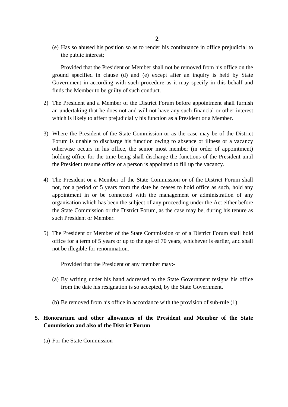(e) Has so abused his position so as to render his continuance in office prejudicial to the public interest;

Provided that the President or Member shall not be removed from his office on the ground specified in clause (d) and (e) except after an inquiry is held by State Government in according with such procedure as it may specify in this behalf and finds the Member to be guilty of such conduct.

- 2) The President and a Member of the District Forum before appointment shall furnish an undertaking that he does not and will not have any such financial or other interest which is likely to affect prejudicially his function as a President or a Member.
- 3) Where the President of the State Commission or as the case may be of the District Forum is unable to discharge his function owing to absence or illness or a vacancy otherwise occurs in his office, the senior most member (in order of appointment) holding office for the time being shall discharge the functions of the President until the President resume office or a person is appointed to fill up the vacancy.
- 4) The President or a Member of the State Commission or of the District Forum shall not, for a period of 5 years from the date he ceases to hold office as such, hold any appointment in or be connected with the management or administration of any organisation which has been the subject of any proceeding under the Act either before the State Commission or the District Forum, as the case may be, during his tenure as such President or Member.
- 5) The President or Member of the State Commission or of a District Forum shall hold office for a term of 5 years or up to the age of 70 years, whichever is earlier, and shall not be illegible for renomination.

Provided that the President or any member may:-

- (a) By writing under his hand addressed to the State Government resigns his office from the date his resignation is so accepted, by the State Government.
- (b) Be removed from his office in accordance with the provision of sub-rule (1)

#### **5. Honorarium and other allowances of the President and Member of the State Commission and also of the District Forum**

(a) For the State Commission-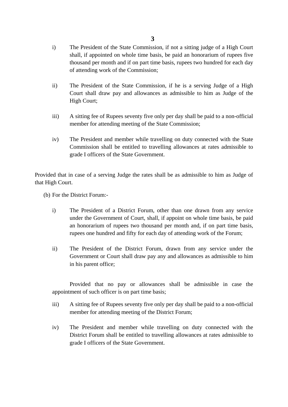- i) The President of the State Commission, if not a sitting judge of a High Court shall, if appointed on whole time basis, be paid an honorarium of rupees five thousand per month and if on part time basis, rupees two hundred for each day of attending work of the Commission;
- ii) The President of the State Commission, if he is a serving Judge of a High Court shall draw pay and allowances as admissible to him as Judge of the High Court;
- iii) A sitting fee of Rupees seventy five only per day shall be paid to a non-official member for attending meeting of the State Commission;
- iv) The President and member while travelling on duty connected with the State Commission shall be entitled to travelling allowances at rates admissible to grade I officers of the State Government.

Provided that in case of a serving Judge the rates shall be as admissible to him as Judge of that High Court.

(b) For the District Forum:-

- i) The President of a District Forum, other than one drawn from any service under the Government of Court, shall, if appoint on whole time basis, be paid an honorarium of rupees two thousand per month and, if on part time basis, rupees one hundred and fifty for each day of attending work of the Forum;
- ii) The President of the District Forum, drawn from any service under the Government or Court shall draw pay any and allowances as admissible to him in his parent office;

Provided that no pay or allowances shall be admissible in case the appointment of such officer is on part time basis;

- iii) A sitting fee of Rupees seventy five only per day shall be paid to a non-official member for attending meeting of the District Forum;
- iv) The President and member while travelling on duty connected with the District Forum shall be entitled to travelling allowances at rates admissible to grade I officers of the State Government.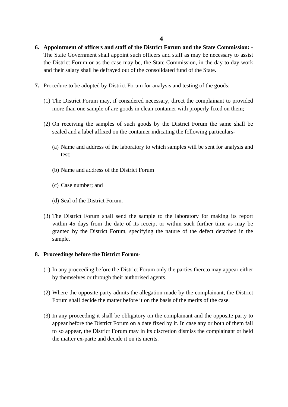- **6. Appointment of officers and staff of the District Forum and the State Commission: -** The State Government shall appoint such officers and staff as may be necessary to assist the District Forum or as the case may be, the State Commission, in the day to day work and their salary shall be defrayed out of the consolidated fund of the State.
- **7.** Procedure to be adopted by District Forum for analysis and testing of the goods:-
	- (1) The District Forum may, if considered necessary, direct the complainant to provided more than one sample of are goods in clean container with properly fixed on them;
	- (2) On receiving the samples of such goods by the District Forum the same shall be sealed and a label affixed on the container indicating the following particulars-
		- (a) Name and address of the laboratory to which samples will be sent for analysis and test;
		- (b) Name and address of the District Forum
		- (c) Case number; and
		- (d) Seal of the District Forum.
	- (3) The District Forum shall send the sample to the laboratory for making its report within 45 days from the date of its receipt or within such further time as may be granted by the District Forum, specifying the nature of the defect detached in the sample.

#### **8. Proceedings before the District Forum-**

- (1) In any proceeding before the District Forum only the parties thereto may appear either by themselves or through their authorised agents.
- (2) Where the opposite party admits the allegation made by the complainant, the District Forum shall decide the matter before it on the basis of the merits of the case.
- (3) In any proceeding it shall be obligatory on the complainant and the opposite party to appear before the District Forum on a date fixed by it. In case any or both of them fail to so appear, the District Forum may in its discretion dismiss the complainant or held the matter ex-parte and decide it on its merits.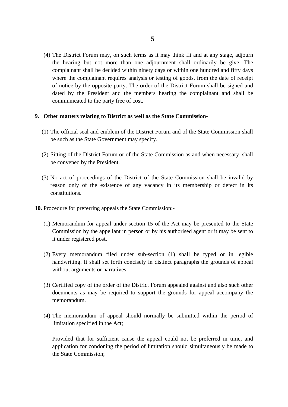(4) The District Forum may, on such terms as it may think fit and at any stage, adjourn the hearing but not more than one adjournment shall ordinarily be give. The complainant shall be decided within ninety days or within one hundred and fifty days where the complainant requires analysis or testing of goods, from the date of receipt of notice by the opposite party. The order of the District Forum shall be signed and dated by the President and the members hearing the complainant and shall be communicated to the party free of cost.

#### **9. Other matters relating to District as well as the State Commission-**

- (1) The official seal and emblem of the District Forum and of the State Commission shall be such as the State Government may specify.
- (2) Sitting of the District Forum or of the State Commission as and when necessary, shall be convened by the President.
- (3) No act of proceedings of the District of the State Commission shall be invalid by reason only of the existence of any vacancy in its membership or defect in its constitutions.
- **10.** Procedure for preferring appeals the State Commission:-
	- (1) Memorandum for appeal under section 15 of the Act may be presented to the State Commission by the appellant in person or by his authorised agent or it may be sent to it under registered post.
	- (2) Every memorandum filed under sub-section (1) shall be typed or in legible handwriting. It shall set forth concisely in distinct paragraphs the grounds of appeal without arguments or narratives.
	- (3) Certified copy of the order of the District Forum appealed against and also such other documents as may be required to support the grounds for appeal accompany the memorandum.
	- (4) The memorandum of appeal should normally be submitted within the period of limitation specified in the Act;

Provided that for sufficient cause the appeal could not be preferred in time, and application for condoning the period of limitation should simultaneously be made to the State Commission;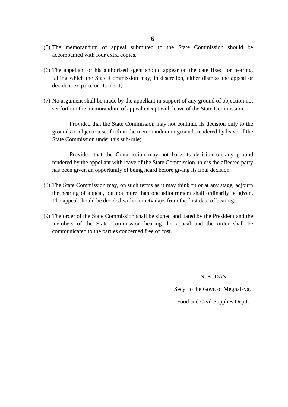- (5) The memorandum of appeal submitted to the State Commission should be accompanied with four extra copies.
- (6) The appellant or his authorised agent should appear on the date fixed for hearing, falling which the State Commission may, in discretion, either dismiss the appeal or decide it ex-parte on its merit;
- (7) No argument shall be made by the appellant in support of any ground of objection not set forth in the memorandum of appeal except with leave of the State Commission;

Provided that the State Commission may not continue its decision only to the grounds or objection set forth in the memorandum or grounds tendered by leave of the State Commission under this sub-rule;

Provided that the Commission may not base its decision on any ground tendered by the appellant with leave of the State Commission unless the affected party has been given an opportunity of being heard before giving its final decision.

- (8) The State Commission may, on such terms as it may think fit or at any stage, adjourn the hearing of appeal, but not more than one adjournment shall ordinarily be given. The appeal should be decided within ninety days from the first date of bearing.
- (9) The order of the State Commission shall be signed and dated by the President and the members of the State Commission hearing the appeal and the order shall be communicated to the parties concerned free of cost.

#### N. K. DAS

Secy. to the Govt. of Meghalaya,

Food and Civil Supplies Deptt.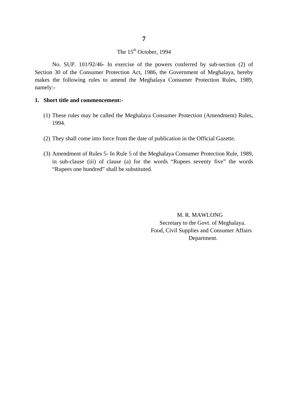### The 15<sup>th</sup> October, 1994

No. SUP. 101/92/46- In exercise of the powers conferred by sub-section (2) of Section 30 of the Consumer Protection Act, 1986, the Government of Meghalaya, hereby makes the following rules to amend the Meghalaya Consumer Protection Rules, 1989, namely:-

#### **1. Short title and commencement:-**

- (1) These rules may be called the Meghalaya Consumer Protection (Amendment) Rules, 1994.
- (2) They shall come into force from the date of publication in the Official Gazette.
- (3) Amendment of Rules 5- In Rule 5 of the Meghalaya Consumer Protection Rule, 1989, in sub-clause (iii) of clause (a) for the words "Rupees seventy five" the words "Rupees one hundred" shall be substituted.

 M. R. MAWLONG Secretary to the Govt. of Meghalaya. Food, Civil Supplies and Consumer Affairs Department.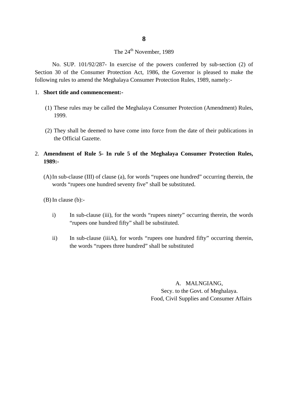#### The 24<sup>th</sup> November, 1989

No. SUP. 101/92/287- In exercise of the powers conferred by sub-section (2) of Section 30 of the Consumer Protection Act, 1986, the Governor is pleased to make the following rules to amend the Meghalaya Consumer Protection Rules, 1989, namely:-

#### 1. **Short title and commencement:-**

- (1) These rules may be called the Meghalaya Consumer Protection (Amendment) Rules, 1999.
- (2) They shall be deemed to have come into force from the date of their publications in the Official Gazette.

#### 2. **Amendment of Rule 5- In rule 5 of the Meghalaya Consumer Protection Rules, 1989:-**

(A)In sub-clause (III) of clause (a), for words "rupees one hundred" occurring therein, the words "rupees one hundred seventy five" shall be substituted.

 $(B)$  In clause  $(b)$ :-

- i) In sub-clause (iii), for the words "rupees ninety" occurring therein, the words "rupees one hundred fifty" shall be substituted.
- ii) In sub-clause (iiiA), for words "rupees one hundred fifty" occurring therein, the words "rupees three hundred" shall be substituted

A. MALNGIANG, Secy. to the Govt. of Meghalaya. Food, Civil Supplies and Consumer Affairs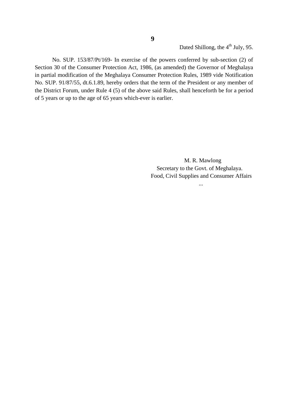Dated Shillong, the 4<sup>th</sup> July, 95.

No. SUP. 153/87/Pt/169- In exercise of the powers conferred by sub-section (2) of Section 30 of the Consumer Protection Act, 1986, (as amended) the Governor of Meghalaya in partial modification of the Meghalaya Consumer Protection Rules, 1989 vide Notification No. SUP. 91/87/55, dt.6.1.89, hereby orders that the term of the President or any member of the District Forum, under Rule 4 (5) of the above said Rules, shall henceforth be for a period of 5 years or up to the age of 65 years which-ever is earlier.

...

**9**

 M. R. Mawlong Secretary to the Govt. of Meghalaya. Food, Civil Supplies and Consumer Affairs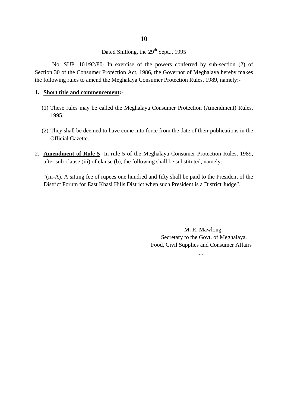Dated Shillong, the 29<sup>th</sup> Sept... 1995

No. SUP. 101/92/80- In exercise of the powers conferred by sub-section (2) of Section 30 of the Consumer Protection Act, 1986, the Governor of Meghalaya hereby makes the following rules to amend the Meghalaya Consumer Protection Rules, 1989, namely:-

#### **1. Short title and commencement:-**

- (1) These rules may be called the Meghalaya Consumer Protection (Amendment) Rules, 1995.
- (2) They shall be deemed to have come into force from the date of their publications in the Official Gazette.
- 2. **Amendment of Rule 5** In rule 5 of the Meghalaya Consumer Protection Rules, 1989, after sub-clause (iii) of clause (b), the following shall be substituted, namely:-

"(iii-A). A sitting fee of rupees one hundred and fifty shall be paid to the President of the District Forum for East Khasi Hills District when such President is a District Judge".

....

M. R. Mawlong, Secretary to the Govt. of Meghalaya. Food, Civil Supplies and Consumer Affairs

**10**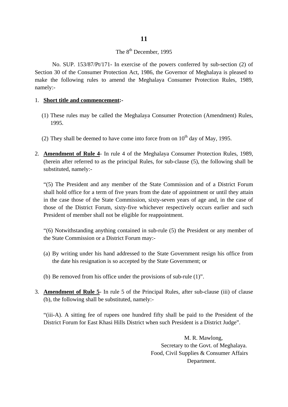#### The 8<sup>th</sup> December, 1995

No. SUP. 153/87/Pt/171- In exercise of the powers conferred by sub-section (2) of Section 30 of the Consumer Protection Act, 1986, the Governor of Meghalaya is pleased to make the following rules to amend the Meghalaya Consumer Protection Rules, 1989, namely:-

#### 1. **Short title and commencement:-**

- (1) These rules may be called the Meghalaya Consumer Protection (Amendment) Rules, 1995.
- (2) They shall be deemed to have come into force from on  $10<sup>th</sup>$  day of May, 1995.
- 2. **Amendment of Rule 4** In rule 4 of the Meghalaya Consumer Protection Rules, 1989, (herein after referred to as the principal Rules, for sub-clause (5), the following shall be substituted, namely:-

"(5) The President and any member of the State Commission and of a District Forum shall hold office for a term of five years from the date of appointment or until they attain in the case those of the State Commission, sixty-seven years of age and, in the case of those of the District Forum, sixty-five whichever respectively occurs earlier and such President of member shall not be eligible for reappointment.

"(6) Notwithstanding anything contained in sub-rule (5) the President or any member of the State Commission or a District Forum may:-

- (a) By writing under his hand addressed to the State Government resign his office from the date his resignation is so accepted by the State Government; or
- (b) Be removed from his office under the provisions of sub-rule (1)".
- 3. **Amendment of Rule 5** In rule 5 of the Principal Rules, after sub-clause (iii) of clause (b), the following shall be substituted, namely:-

"(iii-A). A sitting fee of rupees one hundred fifty shall be paid to the President of the District Forum for East Khasi Hills District when such President is a District Judge".

> M. R. Mawlong, Secretary to the Govt. of Meghalaya. Food, Civil Supplies & Consumer Affairs Department.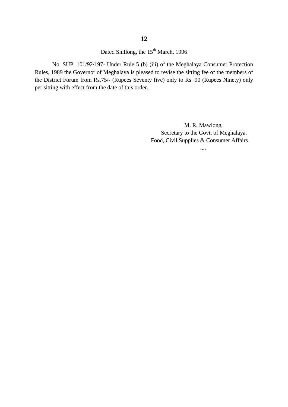Dated Shillong, the 15<sup>th</sup> March, 1996

No. SUP. 101/92/197- Under Rule 5 (b) (iii) of the Meghalaya Consumer Protection Rules, 1989 the Governor of Meghalaya is pleased to revise the sitting fee of the members of the District Forum from Rs.75/- (Rupees Seventy five) only to Rs. 90 (Rupees Ninety) only per sitting with effect from the date of this order.

> M. R. Mawlong, Secretary to the Govt. of Meghalaya. Food, Civil Supplies & Consumer Affairs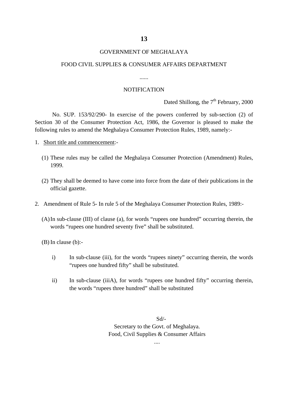#### GOVERNMENT OF MEGHALAYA

#### FOOD CIVIL SUPPLIES & CONSUMER AFFAIRS DEPARTMENT

......

#### **NOTIFICATION**

Dated Shillong, the  $7<sup>th</sup>$  February, 2000

No. SUP. 153/92/290- In exercise of the powers conferred by sub-section (2) of Section 30 of the Consumer Protection Act, 1986, the Governor is pleased to make the following rules to amend the Meghalaya Consumer Protection Rules, 1989, namely:-

- 1. Short title and commencement:-
	- (1) These rules may be called the Meghalaya Consumer Protection (Amendment) Rules, 1999.
	- (2) They shall be deemed to have come into force from the date of their publications in the official gazette.
- 2. Amendment of Rule 5- In rule 5 of the Meghalaya Consumer Protection Rules, 1989:-
	- (A)In sub-clause (III) of clause (a), for words "rupees one hundred" occurring therein, the words "rupees one hundred seventy five" shall be substituted.

(B) In clause (b):-

- i) In sub-clause (iii), for the words "rupees ninety" occurring therein, the words "rupees one hundred fifty" shall be substituted.
- ii) In sub-clause (iiiA), for words "rupees one hundred fifty" occurring therein, the words "rupees three hundred" shall be substituted

Sd/- Secretary to the Govt. of Meghalaya. Food, Civil Supplies & Consumer Affairs

....

**13**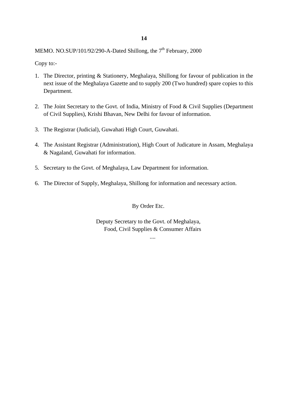MEMO. NO.SUP/101/92/290-A-Dated Shillong, the  $7<sup>th</sup>$  February, 2000

Copy to:-

- 1. The Director, printing & Stationery, Meghalaya, Shillong for favour of publication in the next issue of the Meghalaya Gazette and to supply 200 (Two hundred) spare copies to this Department.
- 2. The Joint Secretary to the Govt. of India, Ministry of Food & Civil Supplies (Department of Civil Supplies), Krishi Bhavan, New Delhi for favour of information.
- 3. The Registrar (Judicial), Guwahati High Court, Guwahati.
- 4. The Assistant Registrar (Administration), High Court of Judicature in Assam, Meghalaya & Nagaland, Guwahati for information.
- 5. Secretary to the Govt. of Meghalaya, Law Department for information.
- 6. The Director of Supply, Meghalaya, Shillong for information and necessary action.

#### By Order Etc.

Deputy Secretary to the Govt. of Meghalaya, Food, Civil Supplies & Consumer Affairs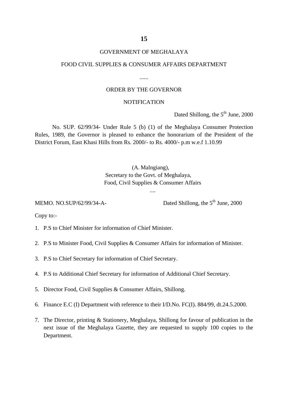#### GOVERNMENT OF MEGHALAYA

#### FOOD CIVIL SUPPLIES & CONSUMER AFFAIRS DEPARTMENT

......

#### ORDER BY THE GOVERNOR

#### **NOTIFICATION**

Dated Shillong, the  $5<sup>th</sup>$  June, 2000

No. SUP. 62/99/34- Under Rule 5 (b) (1) of the Meghalaya Consumer Protection Rules, 1989, the Governor is pleased to enhance the honorarium of the President of the District Forum, East Khasi Hills from Rs. 2000/- to Rs. 4000/- p.m w.e.f 1.10.99

#### (A. Malngiang), Secretary to the Govt. of Meghalaya, Food, Civil Supplies & Consumer Affairs

....

MEMO. NO.SUP/62/99/34-A- Dated Shillong, the  $5<sup>th</sup>$  June, 2000

Copy to:-

- 1. P.S to Chief Minister for information of Chief Minister.
- 2. P.S to Minister Food, Civil Supplies & Consumer Affairs for information of Minister.
- 3. P.S to Chief Secretary for information of Chief Secretary.
- 4. P.S to Additional Chief Secretary for information of Additional Chief Secretary.
- 5. Director Food, Civil Supplies & Consumer Affairs, Shillong.
- 6. Finance E.C (I) Department with reference to their I/D.No. FC(I). 884/99, dt.24.5.2000.
- 7. The Director, printing & Stationery, Meghalaya, Shillong for favour of publication in the next issue of the Meghalaya Gazette, they are requested to supply 100 copies to the Department.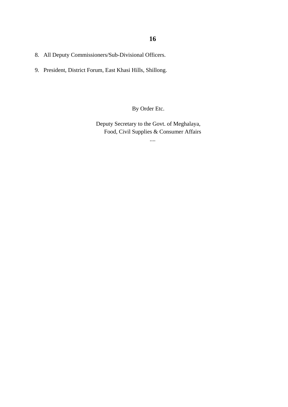- 8. All Deputy Commissioners/Sub-Divisional Officers.
- 9. President, District Forum, East Khasi Hills, Shillong.

By Order Etc.

Deputy Secretary to the Govt. of Meghalaya, Food, Civil Supplies & Consumer Affairs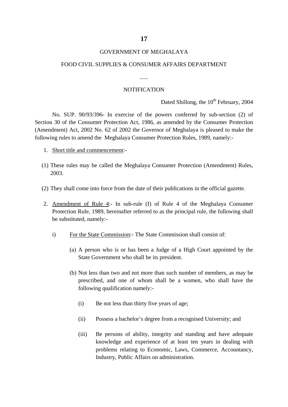#### GOVERNMENT OF MEGHALAYA

#### FOOD CIVIL SUPPLIES & CONSUMER AFFAIRS DEPARTMENT

......

#### **NOTIFICATION**

Dated Shillong, the  $10^{th}$  February, 2004

No. SUP. 90/93/396- In exercise of the powers conferred by sub-section (2) of Section 30 of the Consumer Protection Act, 1986, as amended by the Consumer Protection (Amendment) Act, 2002 No. 62 of 2002 the Governor of Meghalaya is pleased to make the following rules to amend the Meghalaya Consumer Protection Rules, 1989, namely:-

- 1. Short title and commencement:-
- (1) These rules may be called the Meghalaya Consumer Protection (Amendment) Rules, 2003.
- (2) They shall come into force from the date of their publications in the official gazette.
- 2. Amendment of Rule 4:- In sub-rule (I) of Rule 4 of the Meghalaya Consumer Protection Rule, 1989, hereinafter referred to as the principal rule, the following shall be substituted, namely:
	- i) For the State Commission:- The State Commission shall consist of:
		- (a) A person who is or has been a Judge of a High Court appointed by the State Government who shall be its president.
		- (b) Not less than two and not more than such number of members, as may be prescribed, and one of whom shall be a women, who shall have the following qualification namely:-
			- (i) Be not less than thirty five years of age;
			- (ii) Possess a bachelor's degree from a recognised University; and
			- (iii) Be persons of ability, integrity and standing and have adequate knowledge and experience of at least ten years in dealing with problems relating to Economic, Laws, Commerce, Accountancy, Industry, Public Affairs on administration.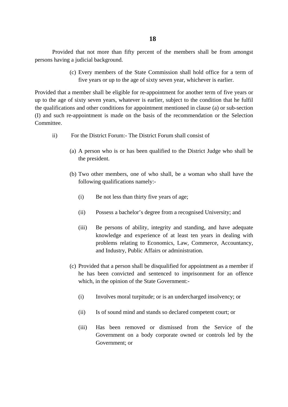#### **18**

Provided that not more than fifty percent of the members shall be from amongst persons having a judicial background.

> (c) Every members of the State Commission shall hold office for a term of five years or up to the age of sixty seven year, whichever is earlier.

Provided that a member shall be eligible for re-appointment for another term of five years or up to the age of sixty seven years, whatever is earlier, subject to the condition that he fulfil the qualifications and other conditions for appointment mentioned in clause (a) or sub-section (I) and such re-appointment is made on the basis of the recommendation or the Selection Committee.

- ii) For the District Forum:- The District Forum shall consist of
	- (a) A person who is or has been qualified to the District Judge who shall be the president.
	- (b) Two other members, one of who shall, be a woman who shall have the following qualifications namely:-
		- (i) Be not less than thirty five years of age;
		- (ii) Possess a bachelor's degree from a recognised University; and
		- (iii) Be persons of ability, integrity and standing, and have adequate knowledge and experience of at least ten years in dealing with problems relating to Economics, Law, Commerce, Accountancy, and Industry, Public Affairs or administration.
	- (c) Provided that a person shall be disqualified for appointment as a member if he has been convicted and sentenced to imprisonment for an offence which, in the opinion of the State Government:-
		- (i) Involves moral turpitude; or is an undercharged insolvency; or
		- (ii) Is of sound mind and stands so declared competent court; or
		- (iii) Has been removed or dismissed from the Service of the Government on a body corporate owned or controls led by the Government; or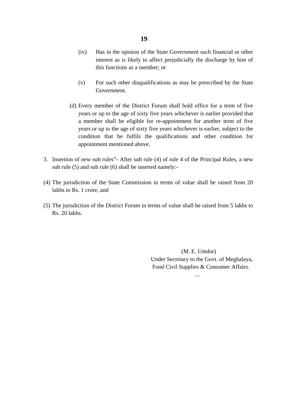#### **19**

- (iv) Has in the opinion of the State Government such financial or other interest as is likely to affect prejudicially the discharge by him of this functions as a member; or
- (v) For such other disqualifications as may be prescribed by the State Government.
- (d) Every member of the District Forum shall hold office for a term of five years or up to the age of sixty five years whichever is earlier provided that a member shall be eligible for re-appointment for another term of five years or up to the age of sixty five years whichever is earlier, subject to the condition that he fulfils the qualifications and other condition for appointment mentioned above.
- 3. Insertion of new sub rules"- After sub rule (4) of rule 4 of the Principal Rules, a new sub rule (5) and sub rule (6) shall be inserted namely:-
- (4) The jurisdiction of the State Commission in terms of value shall be raised from 20 lakhs to Rs. 1 crore, and
- (5) The jurisdiction of the District Forum in terms of value shall be raised from 5 lakhs to Rs. 20 lakhs.

 (M. E. Umdor) Under Secretary to the Govt. of Meghalaya, Food Civil Supplies & Consumer Affairs.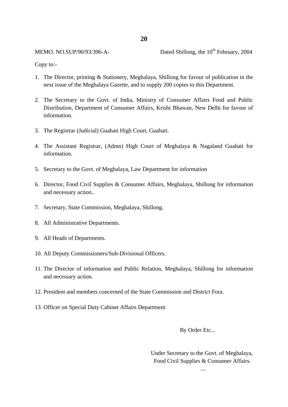MEMO. NO.SUP/90/93/396-A- Dated Shillong, the  $10^{th}$  February, 2004

Copy to:-

- 1. The Director, printing & Stationery, Meghalaya, Shillong for favour of publication in the next issue of the Meghalaya Gazette, and to supply 200 copies to this Department.
- 2. The Secretary to the Govt. of India, Ministry of Consumer Affairs Food and Public Distribution, Department of Consumer Affairs, Krishi Bhawan, New Delhi for favour of information.
- 3. The Registrar (Judicial) Guahati High Court, Guahati.
- 4. The Assistant Registrar, (Admn) High Court of Meghalaya & Nagaland Guahati for information.
- 5. Secretary to the Govt. of Meghalaya, Law Department for information
- 6. Director, Food Civil Supplies & Consumer Affairs, Meghalaya, Shillong for information and necessary action..
- 7. Secretary, State Commission, Meghalaya, Shillong.
- 8. All Administrative Departments.
- 9. All Heads of Departments.
- 10. All Deputy Commissioners/Sub-Divisional Officers.
- 11. The Director of information and Public Relation, Meghalaya, Shillong for information and necessary action.
- 12. President and members concerned of the State Commission and District Fora.
- 13. Officer on Special Duty Cabinet Affairs Department

By Order Etc...

 Under Secretary to the Govt. of Meghalaya, Food Civil Supplies & Consumer Affairs.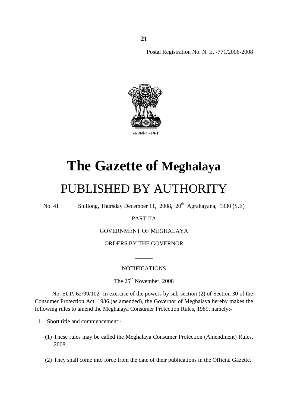Postal Registration No. N. E. -771/2006-2008



# **The Gazette of Meghalaya**

### PUBLISHED BY AUTHORITY

No. 41 Shillong, Thursday December 11, 2008, 20<sup>th</sup> Agrahayana, 1930 (S.E)

#### PART IIA

#### GOVERNMENT OF MEGHALAYA

ORDERS BY THE GOVERNOR

#### **NOTIFICATIONS**

 $\overline{\phantom{a}}$ 

The 25<sup>th</sup> November, 2008

No. SUP. 62/99/102- In exercise of the powers by sub-section (2) of Section 30 of the Consumer Protection Act, 1986,(as amended), the Governor of Meghalaya hereby makes the following rules to amend the Meghalaya Consumer Protection Rules, 1989, namely:-

- 1. Short title and commencement:-
	- (1) These rules may be called the Meghalaya Consumer Protection (Amendment) Rules, 2008.
	- (2) They shall come into force from the date of their publications in the Official Gazette.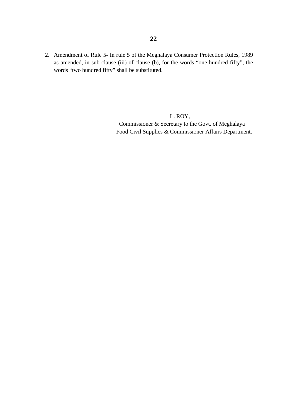2. Amendment of Rule 5- In rule 5 of the Meghalaya Consumer Protection Rules, 1989 as amended, in sub-clause (iii) of clause (b), for the words "one hundred fifty", the words "two hundred fifty" shall be substituted.

> L. ROY, Commissioner & Secretary to the Govt. of Meghalaya Food Civil Supplies & Commissioner Affairs Department.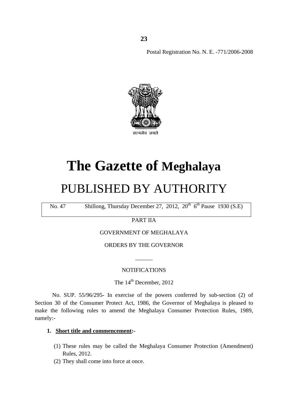Postal Registration No. N. E. -771/2006-2008



### **The Gazette of Meghalaya**

### PUBLISHED BY AUTHORITY

No. 47 Shillong, Thursday December 27, 2012,  $20^{th}$  6<sup>th</sup> Pause 1930 (S.E)

PART IIA

GOVERNMENT OF MEGHALAYA

ORDERS BY THE GOVERNOR

#### NOTIFICATIONS

 $\overline{\phantom{a}}$ 

The 14<sup>th</sup> December, 2012

No. SUP. 55/96/295- In exercise of the powers conferred by sub-section (2) of Section 30 of the Consumer Protect Act, 1986, the Governor of Meghalaya is pleased to make the following rules to amend the Meghalaya Consumer Protection Rules, 1989, namely:-

#### **1. Short title and commencement:-**

- (1) These rules may be called the Meghalaya Consumer Protection (Amendment) Rules, 2012.
- (2) They shall come into force at once.